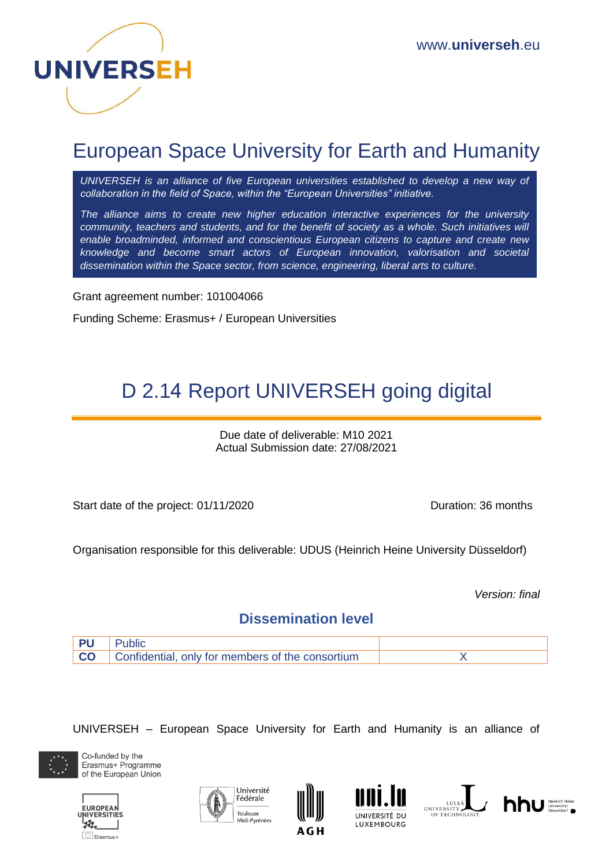

## European Space University for Earth and Humanity

UNIVERSEH is an alliance of five European universities established to develop a new way of *collaboration in the field of Space, within the "European Universities" initiative.*

*The alliance aims to create new higher education interactive experiences for the university community, teachers and students, and for the benefit of society as a whole. Such initiatives will enable broadminded, informed and conscientious European citizens to capture and create new knowledge and become smart actors of European innovation, valorisation and societal dissemination within the Space sector, from science, engineering, liberal arts to culture.*

Grant agreement number: 101004066

Funding Scheme: Erasmus+ / European Universities

# D 2.14 Report UNIVERSEH going digital

Due date of deliverable: M10 2021 Actual Submission date: 27/08/2021

Start date of the project: 01/11/2020 Duration: 36 months

Organisation responsible for this deliverable: UDUS (Heinrich Heine University Düsseldorf)

*Version: final*

#### **Dissemination level**



UNIVERSEH – European Space University for Earth and Humanity is an alliance of



Co-funded by the Erasmus+ Programme of the European Union











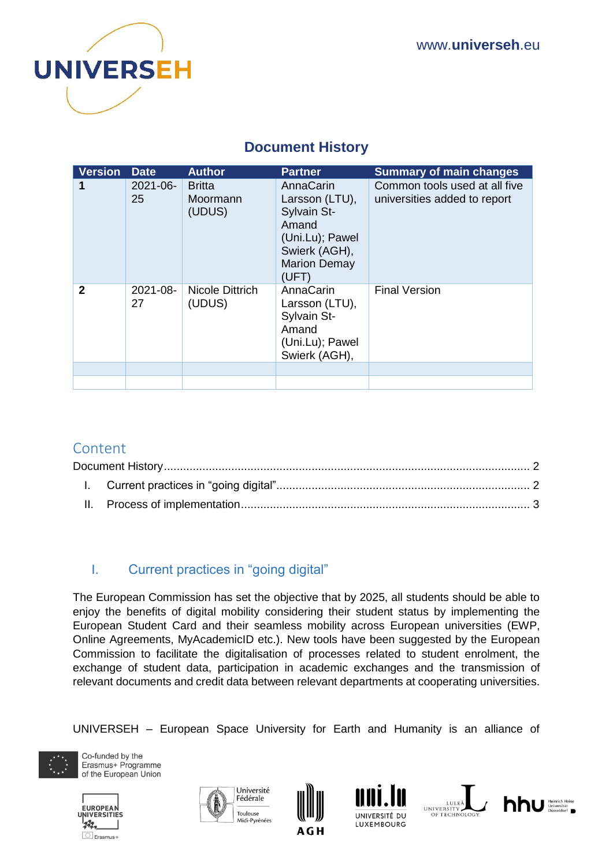

## **Document History**

<span id="page-1-0"></span>

| <b>Version</b> | <b>Date</b>    | <b>Author</b>                       | <b>Partner</b>                                                                                                          | <b>Summary of main changes</b>                                |
|----------------|----------------|-------------------------------------|-------------------------------------------------------------------------------------------------------------------------|---------------------------------------------------------------|
|                | 2021-06-<br>25 | <b>Britta</b><br>Moormann<br>(UDUS) | AnnaCarin<br>Larsson (LTU),<br>Sylvain St-<br>Amand<br>(Uni.Lu); Pawel<br>Swierk (AGH),<br><b>Marion Demay</b><br>(UFT) | Common tools used at all five<br>universities added to report |
| 2              | 2021-08-<br>27 | Nicole Dittrich<br>(UDUS)           | AnnaCarin<br>Larsson (LTU),<br>Sylvain St-<br>Amand<br>(Uni.Lu); Pawel<br>Swierk (AGH),                                 | <b>Final Version</b>                                          |
|                |                |                                     |                                                                                                                         |                                                               |

### Content

### <span id="page-1-1"></span>I. Current practices in "going digital"

The European Commission has set the objective that by 2025, all students should be able to enjoy the benefits of digital mobility considering their student status by implementing the European Student Card and their seamless mobility across European universities (EWP, Online Agreements, MyAcademicID etc.). New tools have been suggested by the European Commission to facilitate the digitalisation of processes related to student enrolment, the exchange of student data, participation in academic exchanges and the transmission of relevant documents and credit data between relevant departments at cooperating universities.

UNIVERSEH – European Space University for Earth and Humanity is an alliance of



Co-funded by the Erasmus+ Programme of the European Union